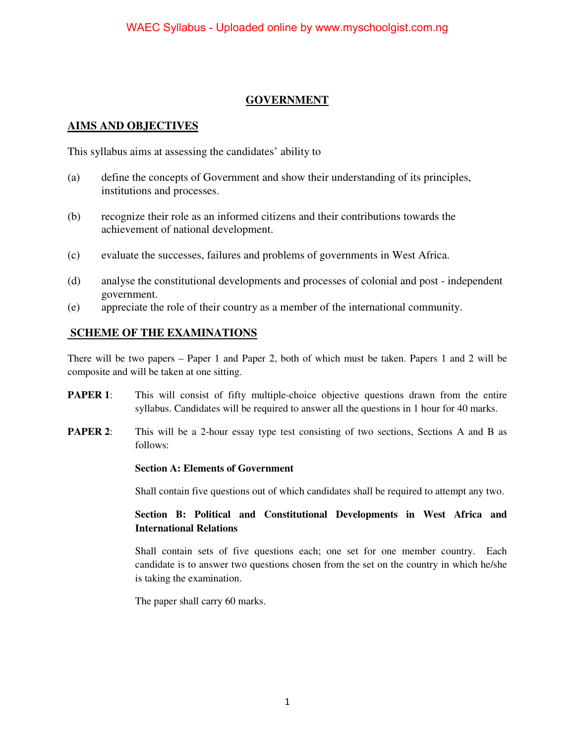## **GOVERNMENT**

### **AIMS AND OBJECTIVES**

This syllabus aims at assessing the candidates' ability to

- (a) define the concepts of Government and show their understanding of its principles, institutions and processes.
- (b) recognize their role as an informed citizens and their contributions towards the achievement of national development.
- (c) evaluate the successes, failures and problems of governments in West Africa.
- (d) analyse the constitutional developments and processes of colonial and post independent government.
- (e) appreciate the role of their country as a member of the international community.

## **SCHEME OF THE EXAMINATIONS**

There will be two papers – Paper 1 and Paper 2, both of which must be taken. Papers 1 and 2 will be composite and will be taken at one sitting.

- **PAPER 1:** This will consist of fifty multiple-choice objective questions drawn from the entire syllabus. Candidates will be required to answer all the questions in 1 hour for 40 marks.
- **PAPER 2:** This will be a 2-hour essay type test consisting of two sections, Sections A and B as follows:

#### **Section A: Elements of Government**

Shall contain five questions out of which candidates shall be required to attempt any two.

#### **Section B: Political and Constitutional Developments in West Africa and International Relations**

Shall contain sets of five questions each; one set for one member country. Each candidate is to answer two questions chosen from the set on the country in which he/she is taking the examination.

The paper shall carry 60 marks.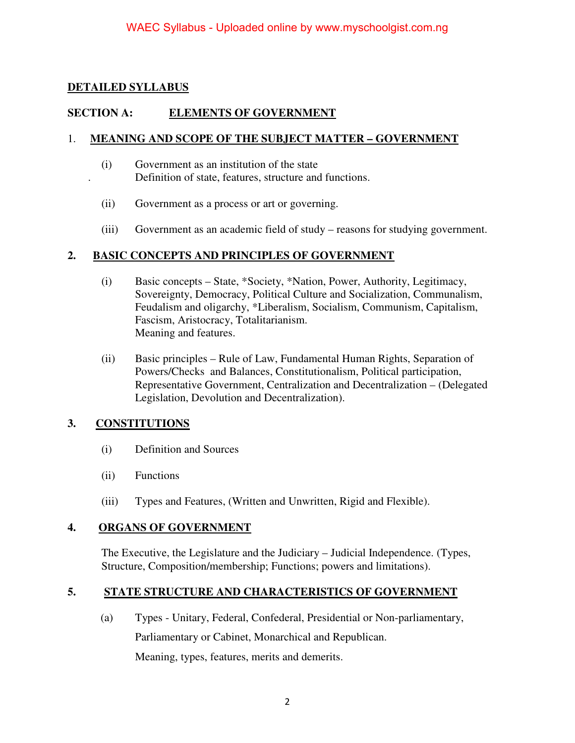## **DETAILED SYLLABUS**

## **SECTION A: ELEMENTS OF GOVERNMENT**

#### 1. **MEANING AND SCOPE OF THE SUBJECT MATTER – GOVERNMENT**

- (i) Government as an institution of the state . Definition of state, features, structure and functions.
- (ii) Government as a process or art or governing.
- (iii) Government as an academic field of study reasons for studying government.

## **2. BASIC CONCEPTS AND PRINCIPLES OF GOVERNMENT**

- (i) Basic concepts State, \*Society, \*Nation, Power, Authority, Legitimacy, Sovereignty, Democracy, Political Culture and Socialization, Communalism, Feudalism and oligarchy, \*Liberalism, Socialism, Communism, Capitalism, Fascism, Aristocracy, Totalitarianism. Meaning and features.
- (ii) Basic principles Rule of Law, Fundamental Human Rights, Separation of Powers/Checks and Balances, Constitutionalism, Political participation, Representative Government, Centralization and Decentralization – (Delegated Legislation, Devolution and Decentralization).

## **3. CONSTITUTIONS**

- (i) Definition and Sources
- (ii) Functions
- (iii) Types and Features, (Written and Unwritten, Rigid and Flexible).

#### **4. ORGANS OF GOVERNMENT**

The Executive, the Legislature and the Judiciary – Judicial Independence. (Types, Structure, Composition/membership; Functions; powers and limitations).

#### **5. STATE STRUCTURE AND CHARACTERISTICS OF GOVERNMENT**

(a) Types - Unitary, Federal, Confederal, Presidential or Non-parliamentary, Parliamentary or Cabinet, Monarchical and Republican. Meaning, types, features, merits and demerits.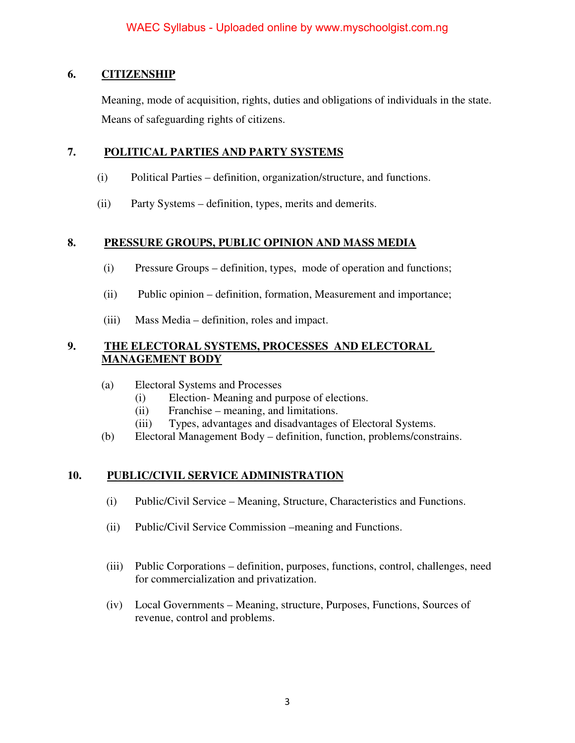## **6. CITIZENSHIP**

Meaning, mode of acquisition, rights, duties and obligations of individuals in the state. Means of safeguarding rights of citizens.

## **7. POLITICAL PARTIES AND PARTY SYSTEMS**

- (i) Political Parties definition, organization/structure, and functions.
- (ii) Party Systems definition, types, merits and demerits.

## **8. PRESSURE GROUPS, PUBLIC OPINION AND MASS MEDIA**

- (i) Pressure Groups definition, types, mode of operation and functions;
- (ii) Public opinion definition, formation, Measurement and importance;
- (iii) Mass Media definition, roles and impact.

## **9. THE ELECTORAL SYSTEMS, PROCESSES AND ELECTORAL MANAGEMENT BODY**

- (a) Electoral Systems and Processes
	- (i) Election- Meaning and purpose of elections.
	- (ii) Franchise meaning, and limitations.
	- (iii) Types, advantages and disadvantages of Electoral Systems.
- (b) Electoral Management Body definition, function, problems/constrains.

## **10. PUBLIC/CIVIL SERVICE ADMINISTRATION**

- (i) Public/Civil Service Meaning, Structure, Characteristics and Functions.
- (ii) Public/Civil Service Commission –meaning and Functions.
- (iii) Public Corporations definition, purposes, functions, control, challenges, need for commercialization and privatization.
- (iv) Local Governments Meaning, structure, Purposes, Functions, Sources of revenue, control and problems.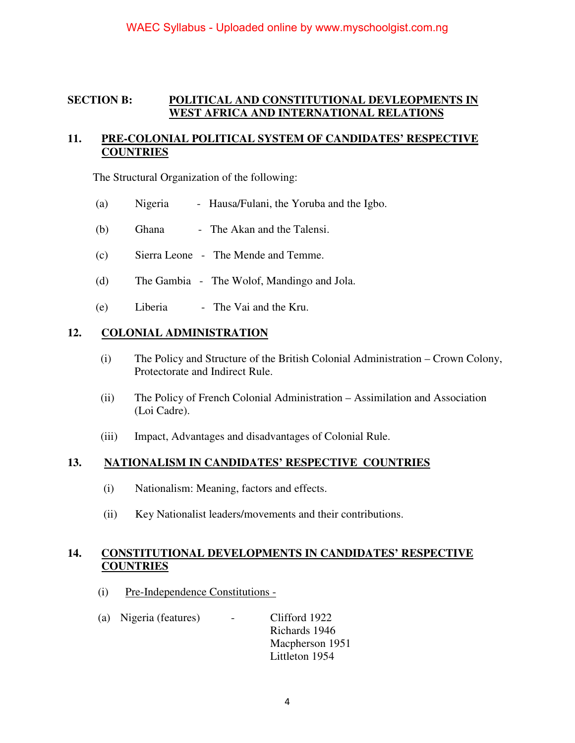### **SECTION B: POLITICAL AND CONSTITUTIONAL DEVLEOPMENTS IN WEST AFRICA AND INTERNATIONAL RELATIONS**

## **11. PRE-COLONIAL POLITICAL SYSTEM OF CANDIDATES' RESPECTIVE COUNTRIES**

The Structural Organization of the following:

- (a) Nigeria Hausa/Fulani, the Yoruba and the Igbo.
- (b) Ghana The Akan and the Talensi.
- (c) Sierra Leone The Mende and Temme.
- (d) The Gambia The Wolof, Mandingo and Jola.
- (e) Liberia The Vai and the Kru.

#### **12. COLONIAL ADMINISTRATION**

- (i) The Policy and Structure of the British Colonial Administration Crown Colony, Protectorate and Indirect Rule.
- (ii) The Policy of French Colonial Administration Assimilation and Association (Loi Cadre).
- (iii) Impact, Advantages and disadvantages of Colonial Rule.

#### **13. NATIONALISM IN CANDIDATES' RESPECTIVE COUNTRIES**

- (i) Nationalism: Meaning, factors and effects.
- (ii) Key Nationalist leaders/movements and their contributions.

#### **14. CONSTITUTIONAL DEVELOPMENTS IN CANDIDATES' RESPECTIVE COUNTRIES**

- (i) Pre-Independence Constitutions -
- (a) Nigeria (features) Clifford 1922 Richards 1946 Macpherson 1951 Littleton 1954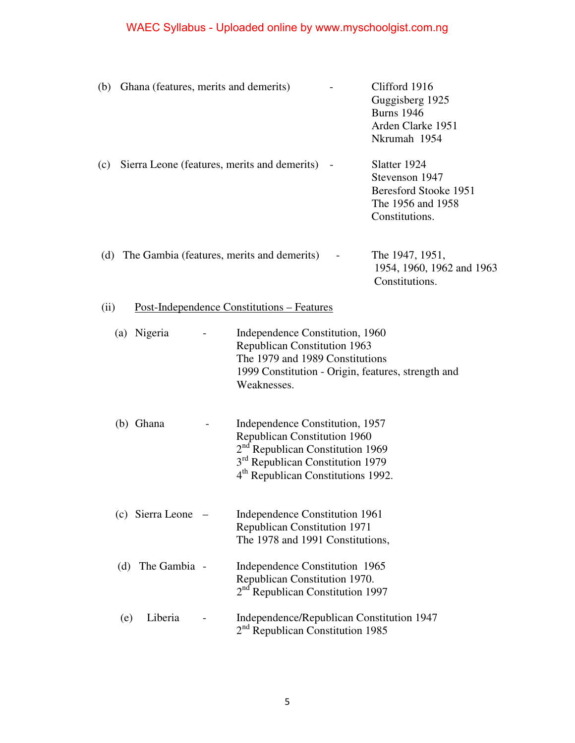# WAEC Syllabus - Uploaded online by www.myschoolgist.com.ng

| (b)                                                       | Ghana (features, merits and demerits) |  |                                                                                                                                                                                                                          |  | Clifford 1916<br>Guggisberg 1925<br><b>Burns</b> 1946<br>Arden Clarke 1951<br>Nkrumah 1954     |
|-----------------------------------------------------------|---------------------------------------|--|--------------------------------------------------------------------------------------------------------------------------------------------------------------------------------------------------------------------------|--|------------------------------------------------------------------------------------------------|
| (c)                                                       |                                       |  | Sierra Leone (features, merits and demerits)                                                                                                                                                                             |  | Slatter 1924<br>Stevenson 1947<br>Beresford Stooke 1951<br>The 1956 and 1958<br>Constitutions. |
|                                                           |                                       |  | (d) The Gambia (features, merits and demerits)                                                                                                                                                                           |  | The 1947, 1951,<br>1954, 1960, 1962 and 1963<br>Constitutions.                                 |
| <u>Post-Independence Constitutions – Features</u><br>(ii) |                                       |  |                                                                                                                                                                                                                          |  |                                                                                                |
|                                                           | (a) Nigeria                           |  | Independence Constitution, 1960<br><b>Republican Constitution 1963</b><br>The 1979 and 1989 Constitutions<br>Weaknesses.                                                                                                 |  | 1999 Constitution - Origin, features, strength and                                             |
|                                                           | (b) Ghana                             |  | Independence Constitution, 1957<br><b>Republican Constitution 1960</b><br>2 <sup>nd</sup> Republican Constitution 1969<br>3 <sup>rd</sup> Republican Constitution 1979<br>4 <sup>th</sup> Republican Constitutions 1992. |  |                                                                                                |
|                                                           | $(c)$ Sierra Leone $-$                |  | Independence Constitution 1961<br><b>Republican Constitution 1971</b><br>The 1978 and 1991 Constitutions,                                                                                                                |  |                                                                                                |
| (d)                                                       | The Gambia -                          |  | Independence Constitution 1965<br>Republican Constitution 1970.<br>2 <sup>nd</sup> Republican Constitution 1997                                                                                                          |  |                                                                                                |
| (e)                                                       | Liberia                               |  | Independence/Republican Constitution 1947<br>2 <sup>nd</sup> Republican Constitution 1985                                                                                                                                |  |                                                                                                |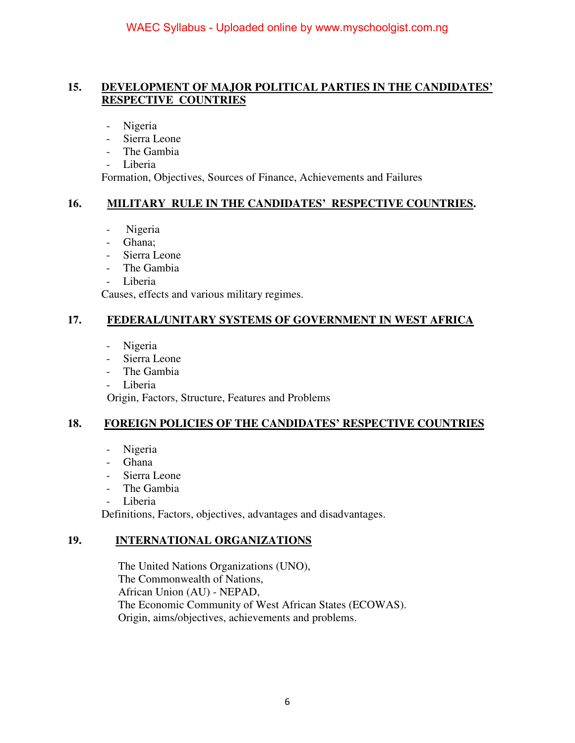### **15. DEVELOPMENT OF MAJOR POLITICAL PARTIES IN THE CANDIDATES' RESPECTIVE COUNTRIES**

- Nigeria
- Sierra Leone
- The Gambia
- Liberia

Formation, Objectives, Sources of Finance, Achievements and Failures

#### **16. MILITARY RULE IN THE CANDIDATES' RESPECTIVE COUNTRIES.**

- Nigeria
- Ghana;
- Sierra Leone
- The Gambia
- Liberia

Causes, effects and various military regimes.

## **17. FEDERAL/UNITARY SYSTEMS OF GOVERNMENT IN WEST AFRICA**

- Nigeria
- Sierra Leone
- The Gambia
- Liberia

Origin, Factors, Structure, Features and Problems

#### **18. FOREIGN POLICIES OF THE CANDIDATES' RESPECTIVE COUNTRIES**

- Nigeria
- Ghana
- Sierra Leone
- The Gambia
- Liberia

Definitions, Factors, objectives, advantages and disadvantages.

#### **19. INTERNATIONAL ORGANIZATIONS**

 The United Nations Organizations (UNO), The Commonwealth of Nations, African Union (AU) - NEPAD, The Economic Community of West African States (ECOWAS). Origin, aims/objectives, achievements and problems.